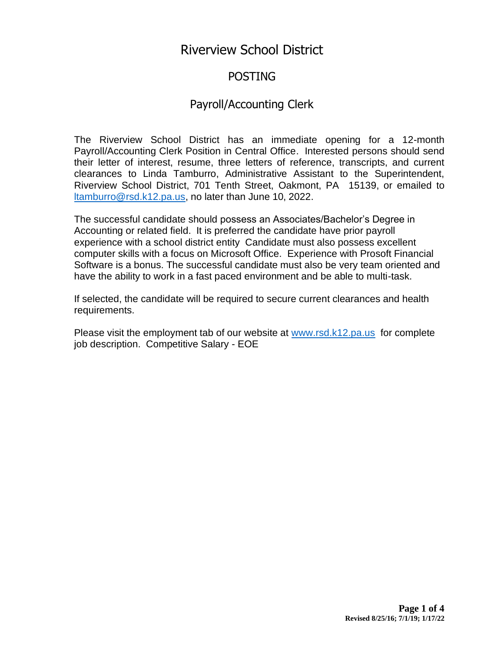# Riverview School District

# POSTING

# Payroll/Accounting Clerk

The Riverview School District has an immediate opening for a 12-month Payroll/Accounting Clerk Position in Central Office. Interested persons should send their letter of interest, resume, three letters of reference, transcripts, and current clearances to Linda Tamburro, Administrative Assistant to the Superintendent, Riverview School District, 701 Tenth Street, Oakmont, PA 15139, or emailed to [ltamburro@rsd.k12.pa.us,](mailto:ltamburro@rsd.k12.pa.us) no later than June 10, 2022.

The successful candidate should possess an Associates/Bachelor's Degree in Accounting or related field. It is preferred the candidate have prior payroll experience with a school district entity Candidate must also possess excellent computer skills with a focus on Microsoft Office. Experience with Prosoft Financial Software is a bonus. The successful candidate must also be very team oriented and have the ability to work in a fast paced environment and be able to multi-task.

If selected, the candidate will be required to secure current clearances and health requirements.

Please visit the employment tab of our website at [www.rsd.k12.pa.us](http://www.rsd.k12.pa.us/) for complete job description. Competitive Salary - EOE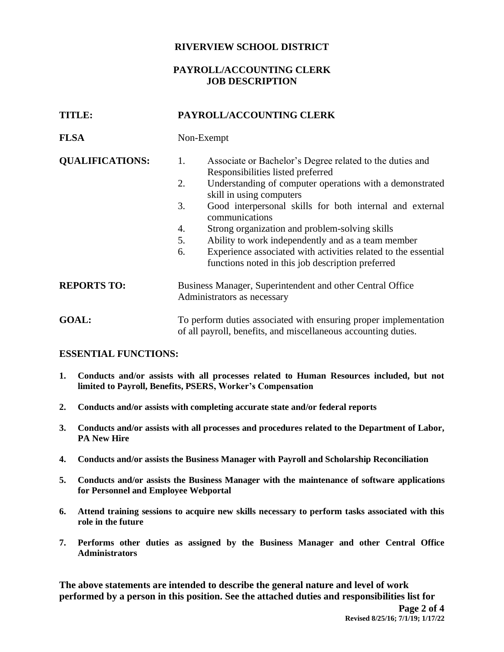#### **RIVERVIEW SCHOOL DISTRICT**

## **PAYROLL/ACCOUNTING CLERK JOB DESCRIPTION**

| TITLE:                 | PAYROLL/ACCOUNTING CLERK                                                                                                                                                                                                                      |  |
|------------------------|-----------------------------------------------------------------------------------------------------------------------------------------------------------------------------------------------------------------------------------------------|--|
| <b>FLSA</b>            | Non-Exempt                                                                                                                                                                                                                                    |  |
| <b>QUALIFICATIONS:</b> | 1.<br>Associate or Bachelor's Degree related to the duties and<br>Responsibilities listed preferred<br>2.<br>Understanding of computer operations with a demonstrated                                                                         |  |
|                        | skill in using computers<br>3.<br>Good interpersonal skills for both internal and external<br>communications                                                                                                                                  |  |
|                        | Strong organization and problem-solving skills<br>4.<br>Ability to work independently and as a team member<br>5.<br>Experience associated with activities related to the essential<br>6.<br>functions noted in this job description preferred |  |
| <b>REPORTS TO:</b>     | Business Manager, Superintendent and other Central Office<br>Administrators as necessary                                                                                                                                                      |  |
| <b>GOAL:</b>           | To perform duties associated with ensuring proper implementation<br>of all payroll, benefits, and miscellaneous accounting duties.                                                                                                            |  |

#### **ESSENTIAL FUNCTIONS:**

- **1. Conducts and/or assists with all processes related to Human Resources included, but not limited to Payroll, Benefits, PSERS, Worker's Compensation**
- **2. Conducts and/or assists with completing accurate state and/or federal reports**
- **3. Conducts and/or assists with all processes and procedures related to the Department of Labor, PA New Hire**
- **4. Conducts and/or assists the Business Manager with Payroll and Scholarship Reconciliation**
- **5. Conducts and/or assists the Business Manager with the maintenance of software applications for Personnel and Employee Webportal**
- **6. Attend training sessions to acquire new skills necessary to perform tasks associated with this role in the future**
- **7. Performs other duties as assigned by the Business Manager and other Central Office Administrators**

**The above statements are intended to describe the general nature and level of work performed by a person in this position. See the attached duties and responsibilities list for**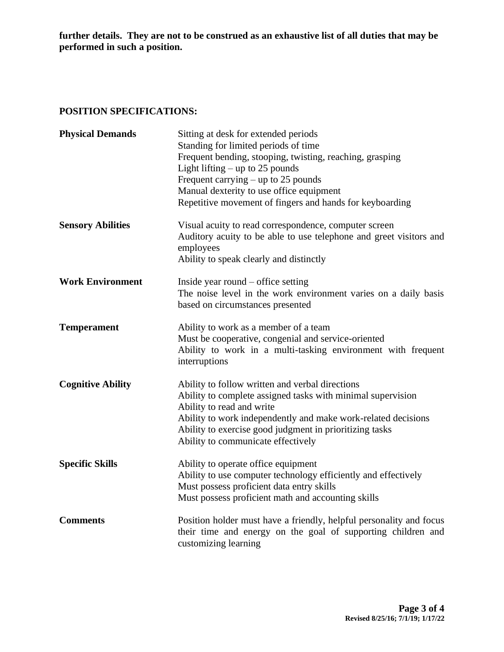**further details. They are not to be construed as an exhaustive list of all duties that may be performed in such a position.**

# **POSITION SPECIFICATIONS:**

| <b>Physical Demands</b>  | Sitting at desk for extended periods<br>Standing for limited periods of time<br>Frequent bending, stooping, twisting, reaching, grasping<br>Light lifting $-$ up to 25 pounds<br>Frequent carrying $-$ up to 25 pounds<br>Manual dexterity to use office equipment<br>Repetitive movement of fingers and hands for keyboarding |
|--------------------------|--------------------------------------------------------------------------------------------------------------------------------------------------------------------------------------------------------------------------------------------------------------------------------------------------------------------------------|
| <b>Sensory Abilities</b> | Visual acuity to read correspondence, computer screen<br>Auditory acuity to be able to use telephone and greet visitors and<br>employees<br>Ability to speak clearly and distinctly                                                                                                                                            |
| <b>Work Environment</b>  | Inside year round $-$ office setting<br>The noise level in the work environment varies on a daily basis<br>based on circumstances presented                                                                                                                                                                                    |
| <b>Temperament</b>       | Ability to work as a member of a team<br>Must be cooperative, congenial and service-oriented<br>Ability to work in a multi-tasking environment with frequent<br>interruptions                                                                                                                                                  |
| <b>Cognitive Ability</b> | Ability to follow written and verbal directions<br>Ability to complete assigned tasks with minimal supervision<br>Ability to read and write<br>Ability to work independently and make work-related decisions<br>Ability to exercise good judgment in prioritizing tasks<br>Ability to communicate effectively                  |
| <b>Specific Skills</b>   | Ability to operate office equipment<br>Ability to use computer technology efficiently and effectively<br>Must possess proficient data entry skills<br>Must possess proficient math and accounting skills                                                                                                                       |
| <b>Comments</b>          | Position holder must have a friendly, helpful personality and focus<br>their time and energy on the goal of supporting children and<br>customizing learning                                                                                                                                                                    |